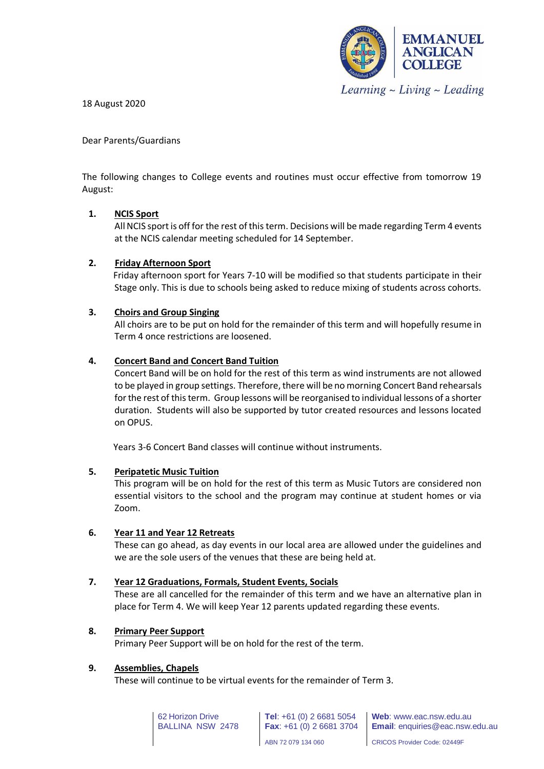

18 August 2020

Dear Parents/Guardians

The following changes to College events and routines must occur effective from tomorrow 19 August:

# **1. NCIS Sport**

All NCIS sport is off for the rest of this term. Decisions will be made regarding Term 4 events at the NCIS calendar meeting scheduled for 14 September.

# **2. Friday Afternoon Sport**

 Friday afternoon sport for Years 7-10 will be modified so that students participate in their Stage only. This is due to schools being asked to reduce mixing of students across cohorts.

# **3. Choirs and Group Singing**

All choirs are to be put on hold for the remainder of this term and will hopefully resume in Term 4 once restrictions are loosened.

### **4. Concert Band and Concert Band Tuition**

Concert Band will be on hold for the rest of this term as wind instruments are not allowed to be played in group settings. Therefore, there will be no morning Concert Band rehearsals for the rest of this term. Group lessons will be reorganised to individual lessons of a shorter duration. Students will also be supported by tutor created resources and lessons located on OPUS.

Years 3-6 Concert Band classes will continue without instruments.

### **5. Peripatetic Music Tuition**

This program will be on hold for the rest of this term as Music Tutors are considered non essential visitors to the school and the program may continue at student homes or via Zoom.

### **6. Year 11 and Year 12 Retreats**

These can go ahead, as day events in our local area are allowed under the guidelines and we are the sole users of the venues that these are being held at.

### **7. Year 12 Graduations, Formals, Student Events, Socials**

These are all cancelled for the remainder of this term and we have an alternative plan in place for Term 4. We will keep Year 12 parents updated regarding these events.

### **8. Primary Peer Support**

Primary Peer Support will be on hold for the rest of the term.

### **9. Assemblies, Chapels**

These will continue to be virtual events for the remainder of Term 3.

62 Horizon Drive BALLINA NSW 2478

**Tel**: +61 (0) 2 6681 5054 **Fax**: +61 (0) 2 6681 3704

**Web**: www.eac.nsw.edu.au **Email**: enquiries@eac.nsw.edu.au